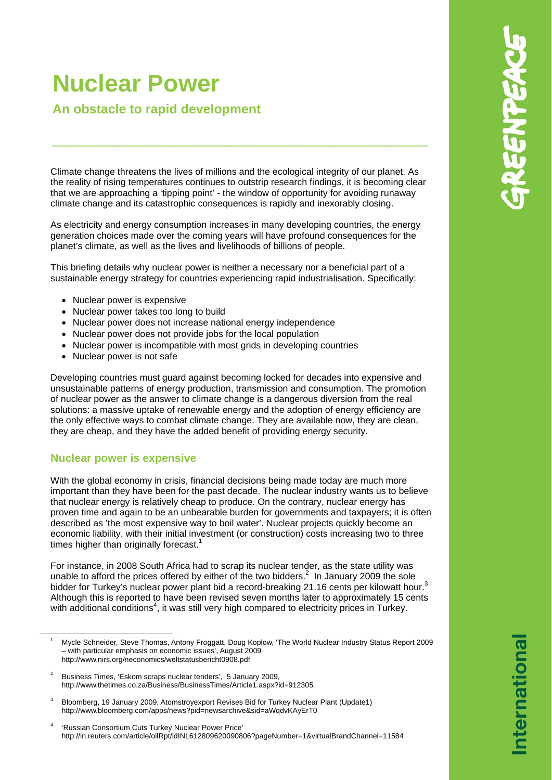# **Nuclear Power**

## **An obstacle to rapid development**

Climate change threatens the lives of millions and the ecological integrity of our planet. As the reality of rising temperatures continues to outstrip research findings, it is becoming clear that we are approaching a 'tipping point' - the window of opportunity for avoiding runaway climate change and its catastrophic consequences is rapidly and inexorably closing.

**\_\_\_\_\_\_\_\_\_\_\_\_\_\_\_\_\_\_\_\_\_\_\_\_\_\_\_\_**

As electricity and energy consumption increases in many developing countries, the energy generation choices made over the coming years will have profound consequences for the planet's climate, as well as the lives and livelihoods of billions of people.

This briefing details why nuclear power is neither a necessary nor a beneficial part of a sustainable energy strategy for countries experiencing rapid industrialisation. Specifically:

- Nuclear power is expensive
- Nuclear power takes too long to build
- Nuclear power does not increase national energy independence
- Nuclear power does not provide jobs for the local population
- Nuclear power is incompatible with most grids in developing countries
- Nuclear power is not safe

Developing countries must guard against becoming locked for decades into expensive and unsustainable patterns of energy production, transmission and consumption. The promotion of nuclear power as the answer to climate change is a dangerous diversion from the real solutions: a massive uptake of renewable energy and the adoption of energy efficiency are the only effective ways to combat climate change. They are available now, they are clean, they are cheap, and they have the added benefit of providing energy security.

## **Nuclear power is expensive**

With the global economy in crisis, financial decisions being made today are much more important than they have been for the past decade. The nuclear industry wants us to believe that nuclear energy is relatively cheap to produce. On the contrary, nuclear energy has proven time and again to be an unbearable burden for governments and taxpayers; it is often described as 'the most expensive way to boil water'. Nuclear projects quickly become an economic liability, with their initial investment (or construction) costs increasing two to three times higher than originally forecast.<sup>1</sup>

For instance, in 2008 South Africa had to scrap its nuclear tender, as the state utility was unable to afford the prices offered by either of the two bidders.<sup>2</sup> In January 2009 the sole bidder for Turkey's nuclear power plant bid a record-breaking 21.16 cents per kilowatt hour.<sup>3</sup> Although this is reported to have been revised seven months later to approximately 15 cents with additional conditions<sup>4</sup>, it was still very high compared to electricity prices in Turkey.

- 3 Bloomberg, 19 January 2009, Atomstroyexport Revises Bid for Turkey Nuclear Plant (Update1) http://www.bloomberg.com/apps/news?pid=newsarchive&sid=aWqdvKAyErT0
- 4 'Russian Consortium Cuts Turkey Nuclear Power Price' http://in.reuters.com/article/oilRpt/idINL612809620090806?pageNumber=1&virtualBrandChannel=11584

 $\overline{\phantom{0}}$  Mycle Schneider, Steve Thomas, Antony Froggatt, Doug Koplow, 'The World Nuclear Industry Status Report 2009 – with particular emphasis on economic issues', August 2009 http://www.nirs.org/neconomics/weltstatusbericht0908.pdf

<sup>2</sup> Business Times, 'Eskom scraps nuclear tenders', 5 January 2009, http://www.thetimes.co.za/Business/BusinessTimes/Article1.aspx?id=912305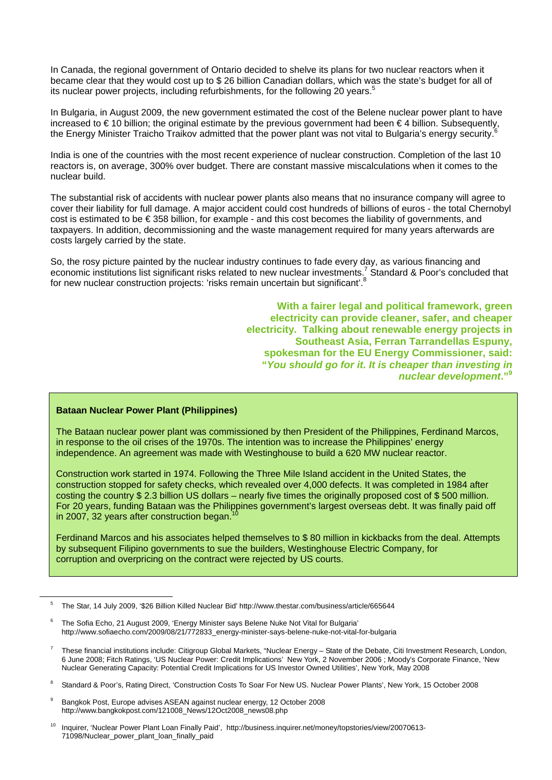In Canada, the regional government of Ontario decided to shelve its plans for two nuclear reactors when it became clear that they would cost up to \$ 26 billion Canadian dollars, which was the state's budget for all of its nuclear power projects, including refurbishments, for the following 20 years.<sup>5</sup>

In Bulgaria, in August 2009, the new government estimated the cost of the Belene nuclear power plant to have increased to € 10 billion; the original estimate by the previous government had been € 4 billion. Subsequently, the Energy Minister Traicho Traikov admitted that the power plant was not vital to Bulgaria's energy security. I.

India is one of the countries with the most recent experience of nuclear construction. Completion of the last 10 reactors is, on average, 300% over budget. There are constant massive miscalculations when it comes to the nuclear build.

The substantial risk of accidents with nuclear power plants also means that no insurance company will agree to cover their liability for full damage. A major accident could cost hundreds of billions of euros - the total Chernobyl cost is estimated to be € 358 billion, for example - and this cost becomes the liability of governments, and taxpayers. In addition, decommissioning and the waste management required for many years afterwards are costs largely carried by the state.

So, the rosy picture painted by the nuclear industry continues to fade every day, as various financing and economic institutions list significant risks related to new nuclear investments.<sup>7</sup> Standard & Poor's concluded that for new nuclear construction projects: 'risks remain uncertain but significant'.<sup>8</sup>

> **With a fairer legal and political framework, green electricity can provide cleaner, safer, and cheaper electricity. Talking about renewable energy projects in Southeast Asia, Ferran Tarrandellas Espuny, spokesman for the EU Energy Commissioner, said: "***You should go for it. It is cheaper than investing in nuclear development***."9**

#### **Bataan Nuclear Power Plant (Philippines)**

 The Bataan nuclear power plant was commissioned by then President of the Philippines, Ferdinand Marcos, in response to the oil crises of the 1970s. The intention was to increase the Philippines' energy independence. An agreement was made with Westinghouse to build a 620 MW nuclear reactor.

 Construction work started in 1974. Following the Three Mile Island accident in the United States, the construction stopped for safety checks, which revealed over 4,000 defects. It was completed in 1984 after costing the country \$ 2.3 billion US dollars – nearly five times the originally proposed cost of \$ 500 million. For 20 years, funding Bataan was the Philippines government's largest overseas debt. It was finally paid off in 2007, 32 years after construction began.

 Ferdinand Marcos and his associates helped themselves to \$ 80 million in kickbacks from the deal. Attempts by subsequent Filipino governments to sue the builders, Westinghouse Electric Company, for corruption and overpricing on the contract were rejected by US courts.

9 Bangkok Post, Europe advises ASEAN against nuclear energy, 12 October 2008 http://www.bangkokpost.com/121008\_News/12Oct2008\_news08.php

5 The Star, 14 July 2009, '\$26 Billion Killed Nuclear Bid' http://www.thestar.com/business/article/665644

<sup>6</sup> The Sofia Echo, 21 August 2009, 'Energy Minister says Belene Nuke Not Vital for Bulgaria' http://www.sofiaecho.com/2009/08/21/772833\_energy-minister-says-belene-nuke-not-vital-for-bulgaria

<sup>7</sup> These financial institutions include: Citigroup Global Markets, "Nuclear Energy – State of the Debate, Citi Investment Research, London, 6 June 2008; Fitch Ratings, 'US Nuclear Power: Credit Implications' New York, 2 November 2006 ; Moody's Corporate Finance, 'New Nuclear Generating Capacity: Potential Credit Implications for US Investor Owned Utilities', New York, May 2008

<sup>8</sup> Standard & Poor's, Rating Direct, 'Construction Costs To Soar For New US. Nuclear Power Plants', New York, 15 October 2008

<sup>10</sup> Inquirer, 'Nuclear Power Plant Loan Finally Paid', http://business.inquirer.net/money/topstories/view/20070613- 71098/Nuclear\_power\_plant\_loan\_finally\_paid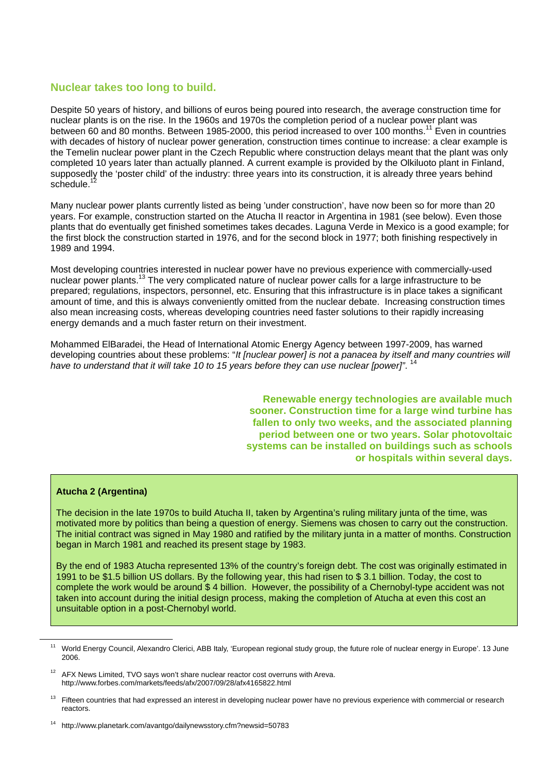## **Nuclear takes too long to build.**

Despite 50 years of history, and billions of euros being poured into research, the average construction time for nuclear plants is on the rise. In the 1960s and 1970s the completion period of a nuclear power plant was between 60 and 80 months. Between 1985-2000, this period increased to over 100 months.<sup>11</sup> Even in countries with decades of history of nuclear power generation, construction times continue to increase: a clear example is the Temelin nuclear power plant in the Czech Republic where construction delays meant that the plant was only completed 10 years later than actually planned. A current example is provided by the Olkiluoto plant in Finland, supposedly the 'poster child' of the industry: three years into its construction, it is already three years behind schedule.

Many nuclear power plants currently listed as being 'under construction', have now been so for more than 20 years. For example, construction started on the Atucha II reactor in Argentina in 1981 (see below). Even those plants that do eventually get finished sometimes takes decades. Laguna Verde in Mexico is a good example; for the first block the construction started in 1976, and for the second block in 1977; both finishing respectively in 1989 and 1994.

Most developing countries interested in nuclear power have no previous experience with commercially-used nuclear power plants.13 The very complicated nature of nuclear power calls for a large infrastructure to be prepared; regulations, inspectors, personnel, etc. Ensuring that this infrastructure is in place takes a significant amount of time, and this is always conveniently omitted from the nuclear debate. Increasing construction times also mean increasing costs, whereas developing countries need faster solutions to their rapidly increasing energy demands and a much faster return on their investment.

Mohammed ElBaradei, the Head of International Atomic Energy Agency between 1997-2009, has warned developing countries about these problems: "*It [nuclear power] is not a panacea by itself and many countries will*  have to understand that it will take 10 to 15 years before they can use nuclear [power]".

> **Renewable energy technologies are available much sooner. Construction time for a large wind turbine has fallen to only two weeks, and the associated planning period between one or two years. Solar photovoltaic systems can be installed on buildings such as schools or hospitals within several days.**

#### **Atucha 2 (Argentina)**

The decision in the late 1970s to build Atucha II, taken by Argentina's ruling military junta of the time, was motivated more by politics than being a question of energy. Siemens was chosen to carry out the construction. The initial contract was signed in May 1980 and ratified by the military junta in a matter of months. Construction began in March 1981 and reached its present stage by 1983.

By the end of 1983 Atucha represented 13% of the country's foreign debt. The cost was originally estimated in 1991 to be \$1.5 billion US dollars. By the following year, this had risen to \$ 3.1 billion. Today, the cost to complete the work would be around \$ 4 billion. However, the possibility of a Chernobyl-type accident was not taken into account during the initial design process, making the completion of Atucha at even this cost an unsuitable option in a post-Chernobyl world.

<sup>&</sup>lt;sup>11</sup> World Energy Council, Alexandro Clerici, ABB Italy, 'European regional study group, the future role of nuclear energy in Europe'. 13 June 2006.

 $12$  AFX News Limited, TVO says won't share nuclear reactor cost overruns with Areva. http://www.forbes.com/markets/feeds/afx/2007/09/28/afx4165822.html

<sup>&</sup>lt;sup>13</sup> Fifteen countries that had expressed an interest in developing nuclear power have no previous experience with commercial or research reactors.

<sup>14</sup> http://www.planetark.com/avantgo/dailynewsstory.cfm?newsid=50783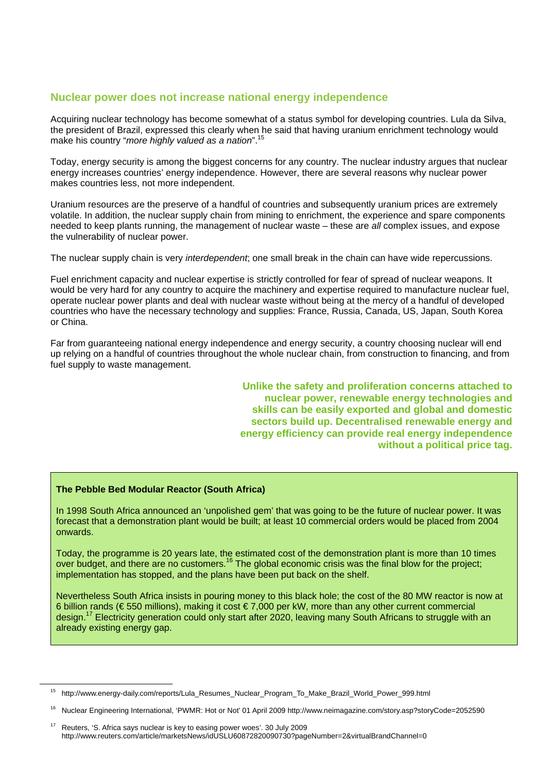## **Nuclear power does not increase national energy independence**

Acquiring nuclear technology has become somewhat of a status symbol for developing countries. Lula da Silva, the president of Brazil, expressed this clearly when he said that having uranium enrichment technology would make his country "*more highly valued as a nation*".15

Today, energy security is among the biggest concerns for any country. The nuclear industry argues that nuclear energy increases countries' energy independence. However, there are several reasons why nuclear power makes countries less, not more independent.

Uranium resources are the preserve of a handful of countries and subsequently uranium prices are extremely volatile. In addition, the nuclear supply chain from mining to enrichment, the experience and spare components needed to keep plants running, the management of nuclear waste – these are *all* complex issues, and expose the vulnerability of nuclear power.

The nuclear supply chain is very *interdependent*; one small break in the chain can have wide repercussions.

Fuel enrichment capacity and nuclear expertise is strictly controlled for fear of spread of nuclear weapons. It would be very hard for any country to acquire the machinery and expertise required to manufacture nuclear fuel, operate nuclear power plants and deal with nuclear waste without being at the mercy of a handful of developed countries who have the necessary technology and supplies: France, Russia, Canada, US, Japan, South Korea or China.

Far from guaranteeing national energy independence and energy security, a country choosing nuclear will end up relying on a handful of countries throughout the whole nuclear chain, from construction to financing, and from fuel supply to waste management.

> **Unlike the safety and proliferation concerns attached to nuclear power, renewable energy technologies and skills can be easily exported and global and domestic sectors build up. Decentralised renewable energy and energy efficiency can provide real energy independence without a political price tag.**

#### **The Pebble Bed Modular Reactor (South Africa)**

In 1998 South Africa announced an 'unpolished gem' that was going to be the future of nuclear power. It was forecast that a demonstration plant would be built; at least 10 commercial orders would be placed from 2004 onwards.

Today, the programme is 20 years late, the estimated cost of the demonstration plant is more than 10 times over budget, and there are no customers.<sup>16</sup> The global economic crisis was the final blow for the project: implementation has stopped, and the plans have been put back on the shelf.

Nevertheless South Africa insists in pouring money to this black hole; the cost of the 80 MW reactor is now at 6 billion rands (€ 550 millions), making it cost € 7,000 per kW, more than any other current commercial design.<sup>17</sup> Electricity generation could only start after 2020, leaving many South Africans to struggle with an already existing energy gap.

15 http://www.energy-daily.com/reports/Lula\_Resumes\_Nuclear\_Program\_To\_Make\_Brazil\_World\_Power\_999.html

<sup>16</sup> Nuclear Engineering International, 'PWMR: Hot or Not' 01 April 2009 http://www.neimagazine.com/story.asp?storyCode=2052590

<sup>17</sup> Reuters, 'S. Africa says nuclear is key to easing power woes'. 30 July 2009 http://www.reuters.com/article/marketsNews/idUSLU60872820090730?pageNumber=2&virtualBrandChannel=0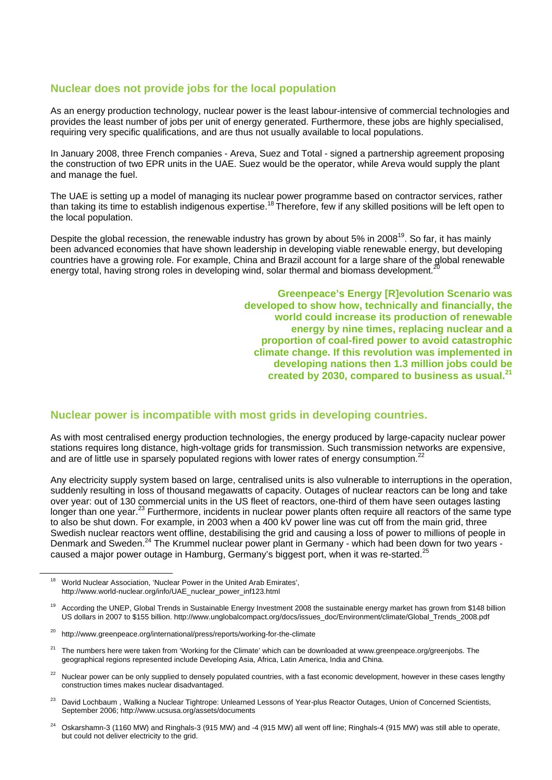## **Nuclear does not provide jobs for the local population**

As an energy production technology, nuclear power is the least labour-intensive of commercial technologies and provides the least number of jobs per unit of energy generated. Furthermore, these jobs are highly specialised, requiring very specific qualifications, and are thus not usually available to local populations.

In January 2008, three French companies - Areva, Suez and Total - signed a partnership agreement proposing the construction of two EPR units in the UAE. Suez would be the operator, while Areva would supply the plant and manage the fuel.

The UAE is setting up a model of managing its nuclear power programme based on contractor services, rather than taking its time to establish indigenous expertise.<sup>18</sup> Therefore, few if any skilled positions will be left open to the local population.

Despite the global recession, the renewable industry has grown by about 5% in 2008<sup>19</sup>. So far, it has mainly been advanced economies that have shown leadership in developing viable renewable energy, but developing countries have a growing role. For example, China and Brazil account for a large share of the global renewable energy total, having strong roles in developing wind, solar thermal and biomass development.

> **Greenpeace's Energy [R]evolution Scenario was developed to show how, technically and financially, the world could increase its production of renewable energy by nine times, replacing nuclear and a proportion of coal-fired power to avoid catastrophic climate change. If this revolution was implemented in developing nations then 1.3 million jobs could be created by 2030, compared to business as usual.<sup>21</sup>**

### **Nuclear power is incompatible with most grids in developing countries.**

As with most centralised energy production technologies, the energy produced by large-capacity nuclear power stations requires long distance, high-voltage grids for transmission. Such transmission networks are expensive, and are of little use in sparsely populated regions with lower rates of energy consumption.<sup>2</sup>

Any electricity supply system based on large, centralised units is also vulnerable to interruptions in the operation, suddenly resulting in loss of thousand megawatts of capacity. Outages of nuclear reactors can be long and take over year: out of 130 commercial units in the US fleet of reactors, one-third of them have seen outages lasting longer than one year.<sup>23</sup> Furthermore, incidents in nuclear power plants often require all reactors of the same type to also be shut down. For example, in 2003 when a 400 kV power line was cut off from the main grid, three Swedish nuclear reactors went offline, destabilising the grid and causing a loss of power to millions of people in Denmark and Sweden.<sup>24</sup> The Krummel nuclear power plant in Germany - which had been down for two years caused a major power outage in Hamburg, Germany's biggest port, when it was re-started.<sup>25</sup>

- David Lochbaum, Walking a Nuclear Tightrope: Unlearned Lessons of Year-plus Reactor Outages, Union of Concerned Scientists, September 2006; http://www.ucsusa.org/assets/documents
- 24 Oskarshamn-3 (1160 MW) and Ringhals-3 (915 MW) and -4 (915 MW) all went off line; Ringhals-4 (915 MW) was still able to operate, but could not deliver electricity to the grid.

<sup>&</sup>lt;sup>18</sup> World Nuclear Association, 'Nuclear Power in the United Arab Emirates', http://www.world-nuclear.org/info/UAE\_nuclear\_power\_inf123.html

According the UNEP, Global Trends in Sustainable Energy Investment 2008 the sustainable energy market has grown from \$148 billion US dollars in 2007 to \$155 billion. http://www.unglobalcompact.org/docs/issues\_doc/Environment/climate/Global\_Trends\_2008.pdf

<sup>20</sup> http://www.greenpeace.org/international/press/reports/working-for-the-climate

<sup>21</sup> The numbers here were taken from 'Working for the Climate' which can be downloaded at www.greenpeace.org/greenjobs. The geographical regions represented include Developing Asia, Africa, Latin America, India and China.

Nuclear power can be only supplied to densely populated countries, with a fast economic development, however in these cases lengthy construction times makes nuclear disadvantaged.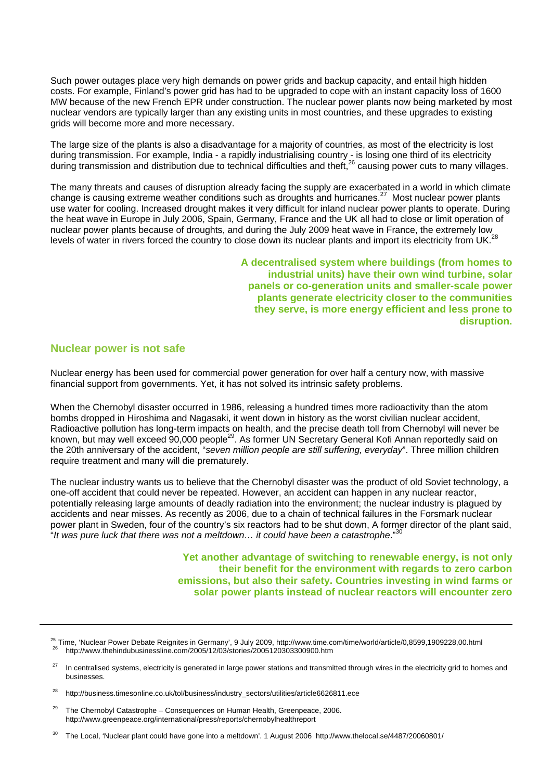Such power outages place very high demands on power grids and backup capacity, and entail high hidden costs. For example, Finland's power grid has had to be upgraded to cope with an instant capacity loss of 1600 MW because of the new French EPR under construction. The nuclear power plants now being marketed by most nuclear vendors are typically larger than any existing units in most countries, and these upgrades to existing grids will become more and more necessary.

The large size of the plants is also a disadvantage for a majority of countries, as most of the electricity is lost during transmission. For example, India - a rapidly industrialising country - is losing one third of its electricity during transmission and distribution due to technical difficulties and theft, $^{26}$  causing power cuts to many villages.

The many threats and causes of disruption already facing the supply are exacerbated in a world in which climate change is causing extreme weather conditions such as droughts and hurricanes.<sup>27</sup> Most nuclear power plants use water for cooling. Increased drought makes it very difficult for inland nuclear power plants to operate. During the heat wave in Europe in July 2006, Spain, Germany, France and the UK all had to close or limit operation of nuclear power plants because of droughts, and during the July 2009 heat wave in France, the extremely low levels of water in rivers forced the country to close down its nuclear plants and import its electricity from UK.<sup>28</sup>

> **A decentralised system where buildings (from homes to industrial units) have their own wind turbine, solar panels or co-generation units and smaller-scale power plants generate electricity closer to the communities they serve, is more energy efficient and less prone to disruption.**

#### **Nuclear power is not safe**

 $\overline{a}$ 

Nuclear energy has been used for commercial power generation for over half a century now, with massive financial support from governments. Yet, it has not solved its intrinsic safety problems.

When the Chernobyl disaster occurred in 1986, releasing a hundred times more radioactivity than the atom bombs dropped in Hiroshima and Nagasaki, it went down in history as the worst civilian nuclear accident, Radioactive pollution has long-term impacts on health, and the precise death toll from Chernobyl will never be known, but may well exceed 90,000 people<sup>29</sup>. As former UN Secretary General Kofi Annan reportedly said on the 20th anniversary of the accident, "*seven million people are still suffering, everyday*". Three million children require treatment and many will die prematurely.

The nuclear industry wants us to believe that the Chernobyl disaster was the product of old Soviet technology, a one-off accident that could never be repeated. However, an accident can happen in any nuclear reactor, potentially releasing large amounts of deadly radiation into the environment; the nuclear industry is plagued by accidents and near misses. As recently as 2006, due to a chain of technical failures in the Forsmark nuclear power plant in Sweden, four of the country's six reactors had to be shut down, A former director of the plant said, "*It was pure luck that there was not a meltdown… it could have been a catastrophe*."30

> **Yet another advantage of switching to renewable energy, is not only their benefit for the environment with regards to zero carbon emissions, but also their safety. Countries investing in wind farms or solar power plants instead of nuclear reactors will encounter zero**

 $29$  The Chernobyl Catastrophe – Consequences on Human Health, Greenpeace, 2006. http://www.greenpeace.org/international/press/reports/chernobylhealthreport

 $30$  The Local, 'Nuclear plant could have gone into a meltdown'. 1 August 2006 http://www.thelocal.se/4487/20060801/

<sup>&</sup>lt;sup>25</sup> Time, 'Nuclear Power Debate Reignites in Germany', 9 July 2009, http://www.time.com/time/world/article/0,8599,1909228,00.html <sup>26</sup> http://www.thehindubusinessline.com/2005/12/03/stories/2005120303300900.htm

<sup>&</sup>lt;sup>27</sup> In centralised systems, electricity is generated in large power stations and transmitted through wires in the electricity grid to homes and businesses.

<sup>28</sup> http://business.timesonline.co.uk/tol/business/industry\_sectors/utilities/article6626811.ece